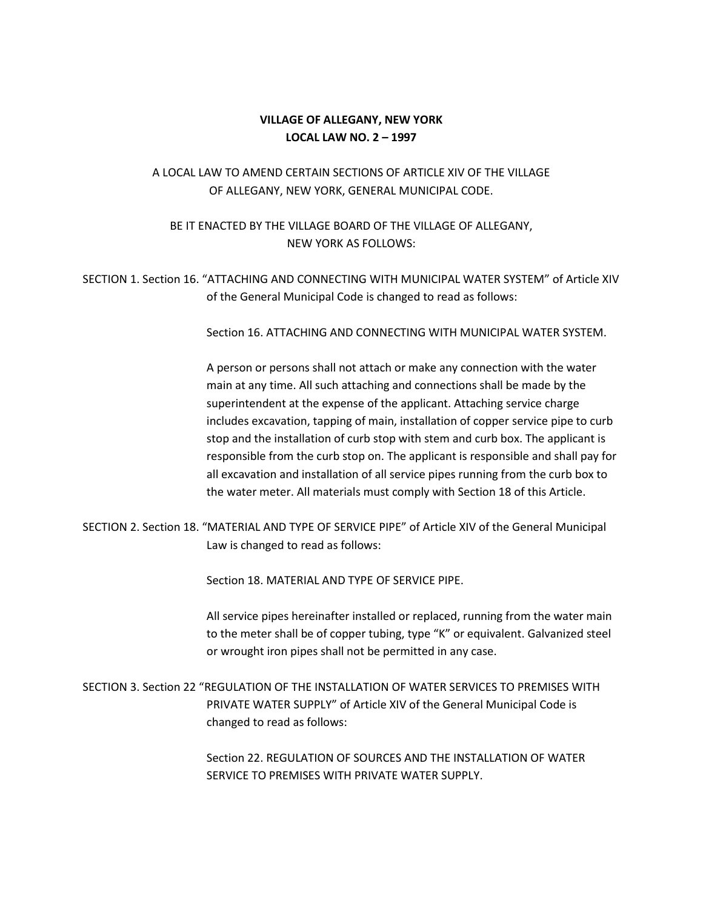#### **VILLAGE OF ALLEGANY, NEW YORK LOCAL LAW NO. 2 – 1997**

## A LOCAL LAW TO AMEND CERTAIN SECTIONS OF ARTICLE XIV OF THE VILLAGE OF ALLEGANY, NEW YORK, GENERAL MUNICIPAL CODE.

## BE IT ENACTED BY THE VILLAGE BOARD OF THE VILLAGE OF ALLEGANY, NEW YORK AS FOLLOWS:

# SECTION 1. Section 16. "ATTACHING AND CONNECTING WITH MUNICIPAL WATER SYSTEM" of Article XIV of the General Municipal Code is changed to read as follows:

Section 16. ATTACHING AND CONNECTING WITH MUNICIPAL WATER SYSTEM.

A person or persons shall not attach or make any connection with the water main at any time. All such attaching and connections shall be made by the superintendent at the expense of the applicant. Attaching service charge includes excavation, tapping of main, installation of copper service pipe to curb stop and the installation of curb stop with stem and curb box. The applicant is responsible from the curb stop on. The applicant is responsible and shall pay for all excavation and installation of all service pipes running from the curb box to the water meter. All materials must comply with Section 18 of this Article.

### SECTION 2. Section 18. "MATERIAL AND TYPE OF SERVICE PIPE" of Article XIV of the General Municipal Law is changed to read as follows:

Section 18. MATERIAL AND TYPE OF SERVICE PIPE.

All service pipes hereinafter installed or replaced, running from the water main to the meter shall be of copper tubing, type "K" or equivalent. Galvanized steel or wrought iron pipes shall not be permitted in any case.

SECTION 3. Section 22 "REGULATION OF THE INSTALLATION OF WATER SERVICES TO PREMISES WITH PRIVATE WATER SUPPLY" of Article XIV of the General Municipal Code is changed to read as follows:

> Section 22. REGULATION OF SOURCES AND THE INSTALLATION OF WATER SERVICE TO PREMISES WITH PRIVATE WATER SUPPLY.